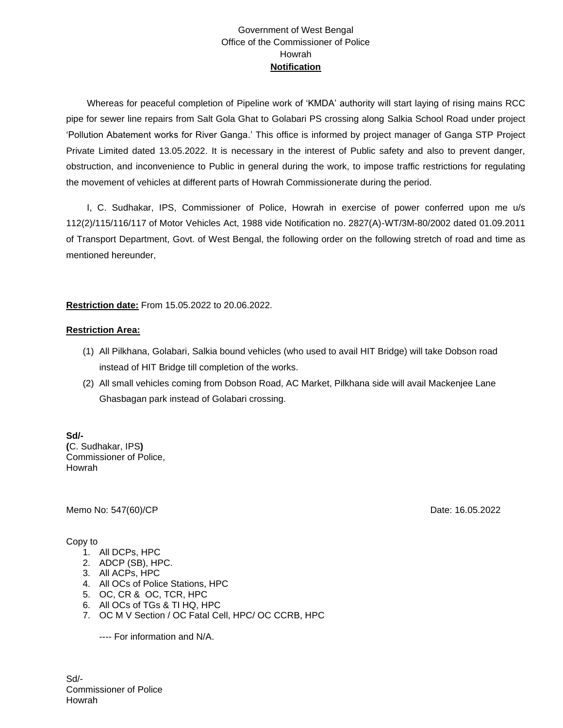## Government of West Bengal Office of the Commissioner of Police Howrah **Notification**

Whereas for peaceful completion of Pipeline work of 'KMDA' authority will start laying of rising mains RCC pipe for sewer line repairs from Salt Gola Ghat to Golabari PS crossing along Salkia School Road under project 'Pollution Abatement works for River Ganga.' This office is informed by project manager of Ganga STP Project Private Limited dated 13.05.2022. It is necessary in the interest of Public safety and also to prevent danger, obstruction, and inconvenience to Public in general during the work, to impose traffic restrictions for regulating the movement of vehicles at different parts of Howrah Commissionerate during the period.

I, C. Sudhakar, IPS, Commissioner of Police, Howrah in exercise of power conferred upon me u/s 112(2)/115/116/117 of Motor Vehicles Act, 1988 vide Notification no. 2827(A)-WT/3M-80/2002 dated 01.09.2011 of Transport Department, Govt. of West Bengal, the following order on the following stretch of road and time as mentioned hereunder,

**Restriction date:** From 15.05.2022 to 20.06.2022.

## **Restriction Area:**

- (1) All Pilkhana, Golabari, Salkia bound vehicles (who used to avail HIT Bridge) will take Dobson road instead of HIT Bridge till completion of the works.
- (2) All small vehicles coming from Dobson Road, AC Market, Pilkhana side will avail Mackenjee Lane Ghasbagan park instead of Golabari crossing.

**Sd/- (**C. Sudhakar, IPS**)** Commissioner of Police, Howrah

Memo No: 547(60)/CP Date: 16.05.2022

## Copy to

- 1. All DCPs, HPC
- 2. ADCP (SB), HPC.
- 3. All ACPs, HPC
- 4. All OCs of Police Stations, HPC
- 5. OC, CR & OC, TCR, HPC
- 6. All OCs of TGs & TI HQ, HPC
- 7. OC M V Section / OC Fatal Cell, HPC/ OC CCRB, HPC

---- For information and N/A.

Sd/- Commissioner of Police Howrah